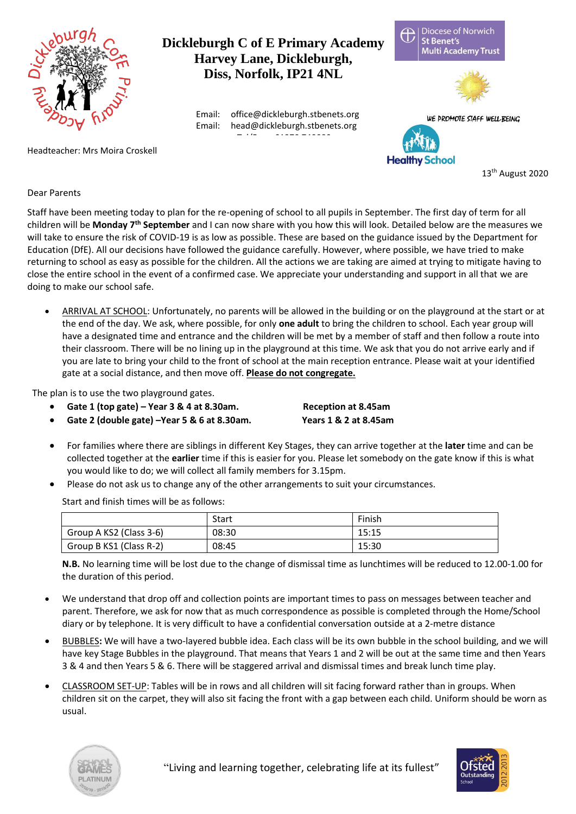

## **Dickleburgh C of E Primary Academy Harvey Lane, Dickleburgh, Diss, Norfolk, IP21 4NL**

Email: office@dickleburgh.stbenets.org Email: head@dickleburgh.stbenets.org

Headteacher: Mrs Moira Croskell

**Diocese of Norwich** Ħ **St Benet's Multi Academy Trust** 





13 th August 2020

## Dear Parents

Staff have been meeting today to plan for the re-opening of school to all pupils in September. The first day of term for all children will be **Monday 7th September** and I can now share with you how this will look. Detailed below are the measures we will take to ensure the risk of COVID-19 is as low as possible. These are based on the guidance issued by the Department for Education (DfE). All our decisions have followed the guidance carefully. However, where possible, we have tried to make returning to school as easy as possible for the children. All the actions we are taking are aimed at trying to mitigate having to close the entire school in the event of a confirmed case. We appreciate your understanding and support in all that we are doing to make our school safe.

ARRIVAL AT SCHOOL: Unfortunately, no parents will be allowed in the building or on the playground at the start or at the end of the day. We ask, where possible, for only **one adult** to bring the children to school. Each year group will have a designated time and entrance and the children will be met by a member of staff and then follow a route into their classroom. There will be no lining up in the playground at this time. We ask that you do not arrive early and if you are late to bring your child to the front of school at the main reception entrance. Please wait at your identified gate at a social distance, and then move off. **Please do not congregate.**

The plan is to use the two playground gates.

- **Gate 1 (top gate) – Year 3 & 4 at 8.30am. Reception at 8.45am**
- **Gate 2 (double gate) –Year 5 & 6 at 8.30am. Years 1 & 2 at 8.45am**

- For families where there are siblings in different Key Stages, they can arrive together at the **later** time and can be collected together at the **earlier** time if this is easier for you. Please let somebody on the gate know if this is what you would like to do; we will collect all family members for 3.15pm.
- Please do not ask us to change any of the other arrangements to suit your circumstances.

Start and finish times will be as follows:

|                         | Start | Finish |
|-------------------------|-------|--------|
| Group A KS2 (Class 3-6) | 08:30 | 15:15  |
| Group B KS1 (Class R-2) | 08:45 | 15:30  |

**N.B.** No learning time will be lost due to the change of dismissal time as lunchtimes will be reduced to 12.00-1.00 for the duration of this period.

- We understand that drop off and collection points are important times to pass on messages between teacher and parent. Therefore, we ask for now that as much correspondence as possible is completed through the Home/School diary or by telephone. It is very difficult to have a confidential conversation outside at a 2-metre distance
- BUBBLES**:** We will have a two-layered bubble idea. Each class will be its own bubble in the school building, and we will have key Stage Bubbles in the playground. That means that Years 1 and 2 will be out at the same time and then Years 3 & 4 and then Years 5 & 6. There will be staggered arrival and dismissal times and break lunch time play.
- CLASSROOM SET-UP: Tables will be in rows and all children will sit facing forward rather than in groups. When children sit on the carpet, they will also sit facing the front with a gap between each child. Uniform should be worn as usual.